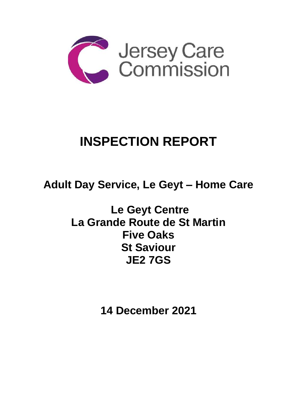

# **INSPECTION REPORT**

**Adult Day Service, Le Geyt – Home Care**

**Le Geyt Centre La Grande Route de St Martin Five Oaks St Saviour JE2 7GS**

**14 December 2021**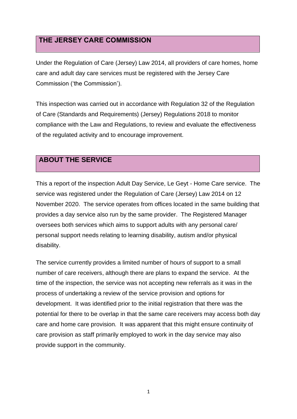## **THE JERSEY CARE COMMISSION**

Under the Regulation of Care (Jersey) Law 2014, all providers of care homes, home care and adult day care services must be registered with the Jersey Care Commission ('the Commission').

This inspection was carried out in accordance with Regulation 32 of the Regulation of Care (Standards and Requirements) (Jersey) Regulations 2018 to monitor compliance with the Law and Regulations, to review and evaluate the effectiveness of the regulated activity and to encourage improvement.

## **ABOUT THE SERVICE**

This a report of the inspection Adult Day Service, Le Geyt - Home Care service. The service was registered under the Regulation of Care (Jersey) Law 2014 on 12 November 2020. The service operates from offices located in the same building that provides a day service also run by the same provider. The Registered Manager oversees both services which aims to support adults with any personal care/ personal support needs relating to learning disability, autism and/or physical disability.

The service currently provides a limited number of hours of support to a small number of care receivers, although there are plans to expand the service. At the time of the inspection, the service was not accepting new referrals as it was in the process of undertaking a review of the service provision and options for development. It was identified prior to the initial registration that there was the potential for there to be overlap in that the same care receivers may access both day care and home care provision. It was apparent that this might ensure continuity of care provision as staff primarily employed to work in the day service may also provide support in the community.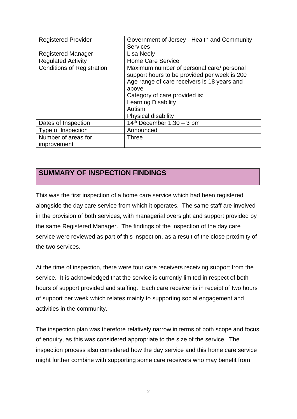| <b>Registered Provider</b>        | Government of Jersey - Health and Community                                                                                                                                                                                                       |
|-----------------------------------|---------------------------------------------------------------------------------------------------------------------------------------------------------------------------------------------------------------------------------------------------|
|                                   | <b>Services</b>                                                                                                                                                                                                                                   |
| <b>Registered Manager</b>         | <b>Lisa Neely</b>                                                                                                                                                                                                                                 |
| <b>Regulated Activity</b>         | <b>Home Care Service</b>                                                                                                                                                                                                                          |
| <b>Conditions of Registration</b> | Maximum number of personal care/ personal<br>support hours to be provided per week is 200<br>Age range of care receivers is 18 years and<br>above<br>Category of care provided is:<br><b>Learning Disability</b><br>Autism<br>Physical disability |
| Dates of Inspection               | $14th$ December 1.30 – 3 pm                                                                                                                                                                                                                       |
| Type of Inspection                | Announced                                                                                                                                                                                                                                         |
| Number of areas for               | Three                                                                                                                                                                                                                                             |
| improvement                       |                                                                                                                                                                                                                                                   |

## **SUMMARY OF INSPECTION FINDINGS**

This was the first inspection of a home care service which had been registered alongside the day care service from which it operates. The same staff are involved in the provision of both services, with managerial oversight and support provided by the same Registered Manager. The findings of the inspection of the day care service were reviewed as part of this inspection, as a result of the close proximity of the two services.

At the time of inspection, there were four care receivers receiving support from the service. It is acknowledged that the service is currently limited in respect of both hours of support provided and staffing. Each care receiver is in receipt of two hours of support per week which relates mainly to supporting social engagement and activities in the community.

The inspection plan was therefore relatively narrow in terms of both scope and focus of enquiry, as this was considered appropriate to the size of the service. The inspection process also considered how the day service and this home care service might further combine with supporting some care receivers who may benefit from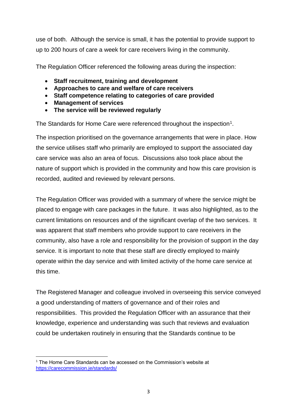use of both. Although the service is small, it has the potential to provide support to up to 200 hours of care a week for care receivers living in the community.

The Regulation Officer referenced the following areas during the inspection:

- **Staff recruitment, training and development**
- **Approaches to care and welfare of care receivers**
- **Staff competence relating to categories of care provided**
- **Management of services**
- **The service will be reviewed regularly**

The Standards for Home Care were referenced throughout the inspection<sup>1</sup>.

The inspection prioritised on the governance arrangements that were in place. How the service utilises staff who primarily are employed to support the associated day care service was also an area of focus. Discussions also took place about the nature of support which is provided in the community and how this care provision is recorded, audited and reviewed by relevant persons.

The Regulation Officer was provided with a summary of where the service might be placed to engage with care packages in the future. It was also highlighted, as to the current limitations on resources and of the significant overlap of the two services. It was apparent that staff members who provide support to care receivers in the community, also have a role and responsibility for the provision of support in the day service. It is important to note that these staff are directly employed to mainly operate within the day service and with limited activity of the home care service at this time.

The Registered Manager and colleague involved in overseeing this service conveyed a good understanding of matters of governance and of their roles and responsibilities. This provided the Regulation Officer with an assurance that their knowledge, experience and understanding was such that reviews and evaluation could be undertaken routinely in ensuring that the Standards continue to be

<sup>&</sup>lt;sup>1</sup> The Home Care Standards can be accessed on the Commission's website at <https://carecommission.je/standards/>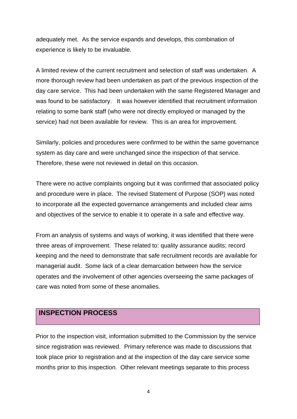adequately met. As the service expands and develops, this combination of experience is likely to be invaluable.

A limited review of the current recruitment and selection of staff was undertaken. A more thorough review had been undertaken as part of the previous inspection of the day care service. This had been undertaken with the same Registered Manager and was found to be satisfactory. It was however identified that recruitment information relating to some bank staff (who were not directly employed or managed by the service) had not been available for review. This is an area for improvement.

Similarly, policies and procedures were confirmed to be within the same governance system as day care and were unchanged since the inspection of that service. Therefore, these were not reviewed in detail on this occasion.

There were no active complaints ongoing but it was confirmed that associated policy and procedure were in place. The revised Statement of Purpose (SOP) was noted to incorporate all the expected governance arrangements and included clear aims and objectives of the service to enable it to operate in a safe and effective way.

From an analysis of systems and ways of working, it was identified that there were three areas of improvement. These related to: quality assurance audits; record keeping and the need to demonstrate that safe recruitment records are available for managerial audit. Some lack of a clear demarcation between how the service operates and the involvement of other agencies overseeing the same packages of care was noted from some of these anomalies.

### **INSPECTION PROCESS**

Prior to the inspection visit, information submitted to the Commission by the service since registration was reviewed. Primary reference was made to discussions that took place prior to registration and at the inspection of the day care service some months prior to this inspection. Other relevant meetings separate to this process

4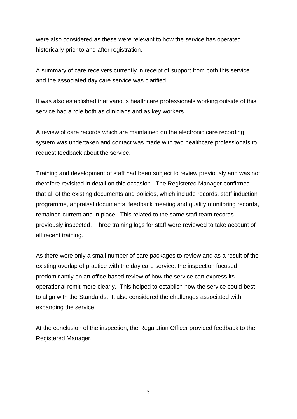were also considered as these were relevant to how the service has operated historically prior to and after registration.

A summary of care receivers currently in receipt of support from both this service and the associated day care service was clarified.

It was also established that various healthcare professionals working outside of this service had a role both as clinicians and as key workers.

A review of care records which are maintained on the electronic care recording system was undertaken and contact was made with two healthcare professionals to request feedback about the service.

Training and development of staff had been subject to review previously and was not therefore revisited in detail on this occasion. The Registered Manager confirmed that all of the existing documents and policies, which include records, staff induction programme, appraisal documents, feedback meeting and quality monitoring records, remained current and in place. This related to the same staff team records previously inspected. Three training logs for staff were reviewed to take account of all recent training.

As there were only a small number of care packages to review and as a result of the existing overlap of practice with the day care service, the inspection focused predominantly on an office based review of how the service can express its operational remit more clearly. This helped to establish how the service could best to align with the Standards. It also considered the challenges associated with expanding the service.

At the conclusion of the inspection, the Regulation Officer provided feedback to the Registered Manager.

5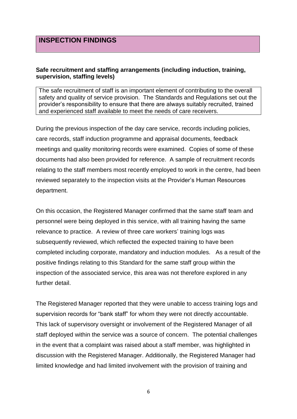#### **Safe recruitment and staffing arrangements (including induction, training, supervision, staffing levels)**

The safe recruitment of staff is an important element of contributing to the overall safety and quality of service provision. The Standards and Regulations set out the provider's responsibility to ensure that there are always suitably recruited, trained and experienced staff available to meet the needs of care receivers.

During the previous inspection of the day care service, records including policies, care records, staff induction programme and appraisal documents, feedback meetings and quality monitoring records were examined. Copies of some of these documents had also been provided for reference. A sample of recruitment records relating to the staff members most recently employed to work in the centre, had been reviewed separately to the inspection visits at the Provider's Human Resources department.

On this occasion, the Registered Manager confirmed that the same staff team and personnel were being deployed in this service, with all training having the same relevance to practice. A review of three care workers' training logs was subsequently reviewed, which reflected the expected training to have been completed including corporate, mandatory and induction modules. As a result of the positive findings relating to this Standard for the same staff group within the inspection of the associated service, this area was not therefore explored in any further detail.

The Registered Manager reported that they were unable to access training logs and supervision records for "bank staff" for whom they were not directly accountable. This lack of supervisory oversight or involvement of the Registered Manager of all staff deployed within the service was a source of concern. The potential challenges in the event that a complaint was raised about a staff member, was highlighted in discussion with the Registered Manager. Additionally, the Registered Manager had limited knowledge and had limited involvement with the provision of training and

6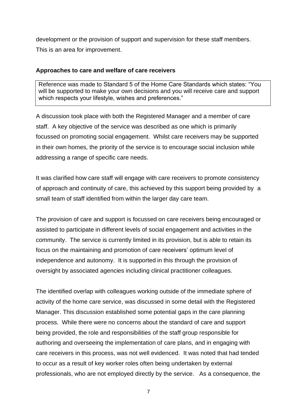development or the provision of support and supervision for these staff members. This is an area for improvement.

#### **Approaches to care and welfare of care receivers**

Reference was made to Standard 5 of the Home Care Standards which states: "You will be supported to make your own decisions and you will receive care and support which respects your lifestyle, wishes and preferences."

A discussion took place with both the Registered Manager and a member of care staff. A key objective of the service was described as one which is primarily focussed on promoting social engagement. Whilst care receivers may be supported in their own homes, the priority of the service is to encourage social inclusion while addressing a range of specific care needs.

It was clarified how care staff will engage with care receivers to promote consistency of approach and continuity of care, this achieved by this support being provided by a small team of staff identified from within the larger day care team.

The provision of care and support is focussed on care receivers being encouraged or assisted to participate in different levels of social engagement and activities in the community. The service is currently limited in its provision, but is able to retain its focus on the maintaining and promotion of care receivers' optimum level of independence and autonomy. It is supported in this through the provision of oversight by associated agencies including clinical practitioner colleagues.

The identified overlap with colleagues working outside of the immediate sphere of activity of the home care service, was discussed in some detail with the Registered Manager. This discussion established some potential gaps in the care planning process. While there were no concerns about the standard of care and support being provided, the role and responsibilities of the staff group responsible for authoring and overseeing the implementation of care plans, and in engaging with care receivers in this process, was not well evidenced. It was noted that had tended to occur as a result of key worker roles often being undertaken by external professionals, who are not employed directly by the service. As a consequence, the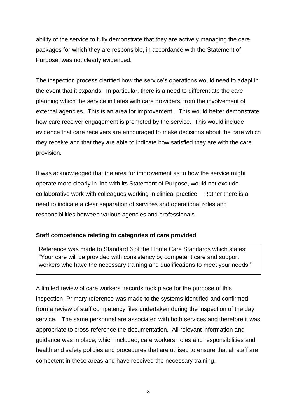ability of the service to fully demonstrate that they are actively managing the care packages for which they are responsible, in accordance with the Statement of Purpose, was not clearly evidenced.

The inspection process clarified how the service's operations would need to adapt in the event that it expands. In particular, there is a need to differentiate the care planning which the service initiates with care providers, from the involvement of external agencies. This is an area for improvement. This would better demonstrate how care receiver engagement is promoted by the service. This would include evidence that care receivers are encouraged to make decisions about the care which they receive and that they are able to indicate how satisfied they are with the care provision.

It was acknowledged that the area for improvement as to how the service might operate more clearly in line with its Statement of Purpose, would not exclude collaborative work with colleagues working in clinical practice. Rather there is a need to indicate a clear separation of services and operational roles and responsibilities between various agencies and professionals.

#### **Staff competence relating to categories of care provided**

Reference was made to Standard 6 of the Home Care Standards which states: "Your care will be provided with consistency by competent care and support workers who have the necessary training and qualifications to meet your needs."

A limited review of care workers' records took place for the purpose of this inspection. Primary reference was made to the systems identified and confirmed from a review of staff competency files undertaken during the inspection of the day service. The same personnel are associated with both services and therefore it was appropriate to cross-reference the documentation. All relevant information and guidance was in place, which included, care workers' roles and responsibilities and health and safety policies and procedures that are utilised to ensure that all staff are competent in these areas and have received the necessary training.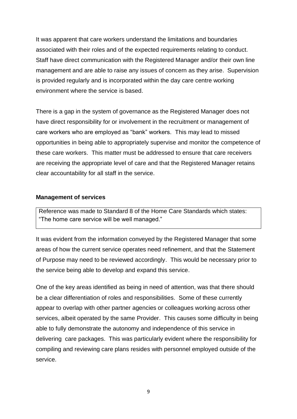It was apparent that care workers understand the limitations and boundaries associated with their roles and of the expected requirements relating to conduct. Staff have direct communication with the Registered Manager and/or their own line management and are able to raise any issues of concern as they arise. Supervision is provided regularly and is incorporated within the day care centre working environment where the service is based.

There is a gap in the system of governance as the Registered Manager does not have direct responsibility for or involvement in the recruitment or management of care workers who are employed as "bank" workers. This may lead to missed opportunities in being able to appropriately supervise and monitor the competence of these care workers. This matter must be addressed to ensure that care receivers are receiving the appropriate level of care and that the Registered Manager retains clear accountability for all staff in the service.

#### **Management of services**

Reference was made to Standard 8 of the Home Care Standards which states: "The home care service will be well managed."

It was evident from the information conveyed by the Registered Manager that some areas of how the current service operates need refinement, and that the Statement of Purpose may need to be reviewed accordingly. This would be necessary prior to the service being able to develop and expand this service.

One of the key areas identified as being in need of attention, was that there should be a clear differentiation of roles and responsibilities. Some of these currently appear to overlap with other partner agencies or colleagues working across other services, albeit operated by the same Provider. This causes some difficulty in being able to fully demonstrate the autonomy and independence of this service in delivering care packages. This was particularly evident where the responsibility for compiling and reviewing care plans resides with personnel employed outside of the service.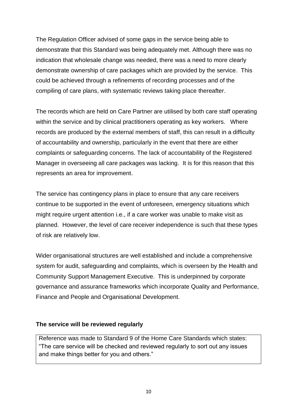The Regulation Officer advised of some gaps in the service being able to demonstrate that this Standard was being adequately met. Although there was no indication that wholesale change was needed, there was a need to more clearly demonstrate ownership of care packages which are provided by the service. This could be achieved through a refinements of recording processes and of the compiling of care plans, with systematic reviews taking place thereafter.

The records which are held on Care Partner are utilised by both care staff operating within the service and by clinical practitioners operating as key workers. Where records are produced by the external members of staff, this can result in a difficulty of accountability and ownership, particularly in the event that there are either complaints or safeguarding concerns. The lack of accountability of the Registered Manager in overseeing all care packages was lacking. It is for this reason that this represents an area for improvement.

The service has contingency plans in place to ensure that any care receivers continue to be supported in the event of unforeseen, emergency situations which might require urgent attention i.e., if a care worker was unable to make visit as planned. However, the level of care receiver independence is such that these types of risk are relatively low.

Wider organisational structures are well established and include a comprehensive system for audit, safeguarding and complaints, which is overseen by the Health and Community Support Management Executive. This is underpinned by corporate governance and assurance frameworks which incorporate Quality and Performance, Finance and People and Organisational Development.

#### **The service will be reviewed regularly**

Reference was made to Standard 9 of the Home Care Standards which states: "The care service will be checked and reviewed regularly to sort out any issues and make things better for you and others."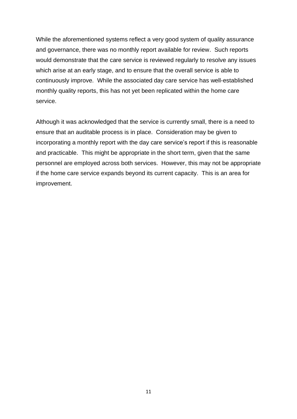While the aforementioned systems reflect a very good system of quality assurance and governance, there was no monthly report available for review. Such reports would demonstrate that the care service is reviewed regularly to resolve any issues which arise at an early stage, and to ensure that the overall service is able to continuously improve. While the associated day care service has well-established monthly quality reports, this has not yet been replicated within the home care service.

Although it was acknowledged that the service is currently small, there is a need to ensure that an auditable process is in place. Consideration may be given to incorporating a monthly report with the day care service's report if this is reasonable and practicable. This might be appropriate in the short term, given that the same personnel are employed across both services. However, this may not be appropriate if the home care service expands beyond its current capacity. This is an area for improvement.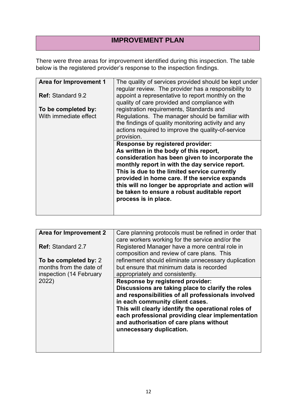## **IMPROVEMENT PLAN**

There were three areas for improvement identified during this inspection. The table below is the registered provider's response to the inspection findings.

| <b>Area for Improvement 1</b> | The quality of services provided should be kept under<br>regular review. The provider has a responsibility to                                                                                                                                                                                                                                                                                                         |
|-------------------------------|-----------------------------------------------------------------------------------------------------------------------------------------------------------------------------------------------------------------------------------------------------------------------------------------------------------------------------------------------------------------------------------------------------------------------|
| <b>Ref: Standard 9.2</b>      | appoint a representative to report monthly on the<br>quality of care provided and compliance with                                                                                                                                                                                                                                                                                                                     |
| To be completed by:           | registration requirements, Standards and                                                                                                                                                                                                                                                                                                                                                                              |
| With immediate effect         | Regulations. The manager should be familiar with<br>the findings of quality monitoring activity and any<br>actions required to improve the quality-of-service<br>provision.                                                                                                                                                                                                                                           |
|                               | <b>Response by registered provider:</b><br>As written in the body of this report,<br>consideration has been given to incorporate the<br>monthly report in with the day service report.<br>This is due to the limited service currently<br>provided in home care. If the service expands<br>this will no longer be appropriate and action will<br>be taken to ensure a robust auditable report<br>process is in place. |

| Area for Improvement 2   | Care planning protocols must be refined in order that<br>care workers working for the service and/or the                                                                                                                                                                                                                     |
|--------------------------|------------------------------------------------------------------------------------------------------------------------------------------------------------------------------------------------------------------------------------------------------------------------------------------------------------------------------|
| <b>Ref: Standard 2.7</b> | Registered Manager have a more central role in<br>composition and review of care plans. This                                                                                                                                                                                                                                 |
| To be completed by: 2    | refinement should eliminate unnecessary duplication                                                                                                                                                                                                                                                                          |
| months from the date of  | but ensure that minimum data is recorded                                                                                                                                                                                                                                                                                     |
| inspection (14 February  | appropriately and consistently.                                                                                                                                                                                                                                                                                              |
| 2022)                    | Response by registered provider:                                                                                                                                                                                                                                                                                             |
|                          | Discussions are taking place to clarify the roles<br>and responsibilities of all professionals involved<br>in each community client cases.<br>This will clearly identify the operational roles of<br>each professional providing clear implementation<br>and authorisation of care plans without<br>unnecessary duplication. |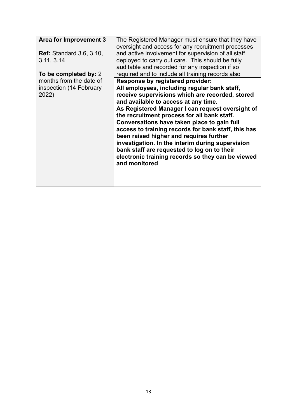| Area for Improvement 3<br><b>Ref:</b> Standard 3.6, 3.10,<br>3.11, 3.14 | The Registered Manager must ensure that they have<br>oversight and access for any recruitment processes<br>and active involvement for supervision of all staff<br>deployed to carry out care. This should be fully<br>auditable and recorded for any inspection if so                                                                                                                                                                                                                                                                                                                                           |
|-------------------------------------------------------------------------|-----------------------------------------------------------------------------------------------------------------------------------------------------------------------------------------------------------------------------------------------------------------------------------------------------------------------------------------------------------------------------------------------------------------------------------------------------------------------------------------------------------------------------------------------------------------------------------------------------------------|
| To be completed by: 2                                                   | required and to include all training records also                                                                                                                                                                                                                                                                                                                                                                                                                                                                                                                                                               |
| months from the date of<br>inspection (14 February<br>2022)             | <b>Response by registered provider:</b><br>All employees, including regular bank staff,<br>receive supervisions which are recorded, stored<br>and available to access at any time.<br>As Registered Manager I can request oversight of<br>the recruitment process for all bank staff.<br>Conversations have taken place to gain full<br>access to training records for bank staff, this has<br>been raised higher and requires further<br>investigation. In the interim during supervision<br>bank staff are requested to log on to their<br>electronic training records so they can be viewed<br>and monitored |